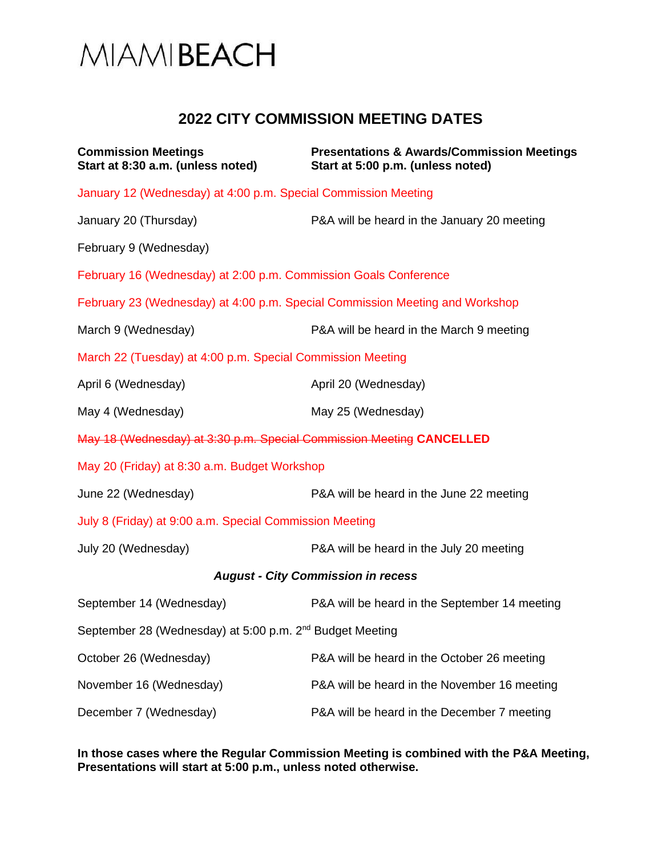

## **2022 CITY COMMISSION MEETING DATES**

| <b>Commission Meetings</b><br>Start at 8:30 a.m. (unless noted)              | <b>Presentations &amp; Awards/Commission Meetings</b><br>Start at 5:00 p.m. (unless noted) |
|------------------------------------------------------------------------------|--------------------------------------------------------------------------------------------|
| January 12 (Wednesday) at 4:00 p.m. Special Commission Meeting               |                                                                                            |
| January 20 (Thursday)                                                        | P&A will be heard in the January 20 meeting                                                |
| February 9 (Wednesday)                                                       |                                                                                            |
| February 16 (Wednesday) at 2:00 p.m. Commission Goals Conference             |                                                                                            |
| February 23 (Wednesday) at 4:00 p.m. Special Commission Meeting and Workshop |                                                                                            |
| March 9 (Wednesday)                                                          | P&A will be heard in the March 9 meeting                                                   |
| March 22 (Tuesday) at 4:00 p.m. Special Commission Meeting                   |                                                                                            |
| April 6 (Wednesday)                                                          | April 20 (Wednesday)                                                                       |
| May 4 (Wednesday)                                                            | May 25 (Wednesday)                                                                         |
| May 18 (Wednesday) at 3:30 p.m. Special Commission Meeting CANCELLED         |                                                                                            |
| May 20 (Friday) at 8:30 a.m. Budget Workshop                                 |                                                                                            |
| June 22 (Wednesday)                                                          | P&A will be heard in the June 22 meeting                                                   |
| July 8 (Friday) at 9:00 a.m. Special Commission Meeting                      |                                                                                            |
| July 20 (Wednesday)                                                          | P&A will be heard in the July 20 meeting                                                   |
| <b>August - City Commission in recess</b>                                    |                                                                                            |
| September 14 (Wednesday)                                                     | P&A will be heard in the September 14 meeting                                              |
| September 28 (Wednesday) at 5:00 p.m. 2 <sup>nd</sup> Budget Meeting         |                                                                                            |
| October 26 (Wednesday)                                                       | P&A will be heard in the October 26 meeting                                                |
| November 16 (Wednesday)                                                      | P&A will be heard in the November 16 meeting                                               |
| December 7 (Wednesday)                                                       | P&A will be heard in the December 7 meeting                                                |

**In those cases where the Regular Commission Meeting is combined with the P&A Meeting, Presentations will start at 5:00 p.m., unless noted otherwise.**